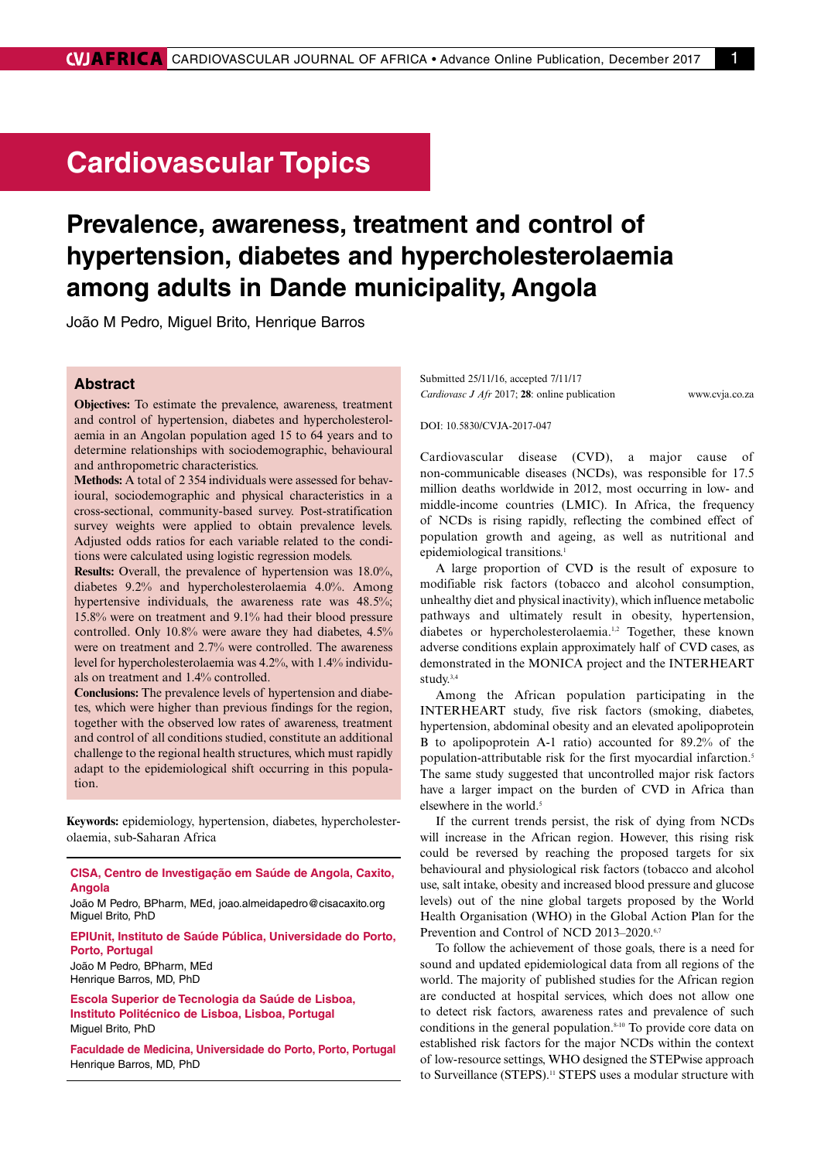## **Cardiovascular Topics**

# **Prevalence, awareness, treatment and control of hypertension, diabetes and hypercholesterolaemia among adults in Dande municipality, Angola**

João M Pedro, Miguel Brito, Henrique Barros

## **Abstract**

**Objectives:** To estimate the prevalence, awareness, treatment and control of hypertension, diabetes and hypercholesterolaemia in an Angolan population aged 15 to 64 years and to determine relationships with sociodemographic, behavioural and anthropometric characteristics.

**Methods:** A total of 2 354 individuals were assessed for behavioural, sociodemographic and physical characteristics in a cross-sectional, community-based survey. Post-stratification survey weights were applied to obtain prevalence levels. Adjusted odds ratios for each variable related to the conditions were calculated using logistic regression models.

**Results:** Overall, the prevalence of hypertension was 18.0%, diabetes 9.2% and hypercholesterolaemia 4.0%. Among hypertensive individuals, the awareness rate was 48.5%; 15.8% were on treatment and 9.1% had their blood pressure controlled. Only 10.8% were aware they had diabetes, 4.5% were on treatment and 2.7% were controlled. The awareness level for hypercholesterolaemia was 4.2%, with 1.4% individuals on treatment and 1.4% controlled.

**Conclusions:** The prevalence levels of hypertension and diabetes, which were higher than previous findings for the region, together with the observed low rates of awareness, treatment and control of all conditions studied, constitute an additional challenge to the regional health structures, which must rapidly adapt to the epidemiological shift occurring in this population.

**Keywords:** epidemiology, hypertension, diabetes, hypercholesterolaemia, sub-Saharan Africa

**CISA, Centro de Investigação em Saúde de Angola, Caxito, Angola**

João M Pedro, BPharm, MEd, joao.almeidapedro@cisacaxito.org Miguel Brito, PhD

**EPIUnit, Instituto de Saúde Pública, Universidade do Porto, Porto, Portugal**

João M Pedro, BPharm, MEd Henrique Barros, MD, PhD

**Escola Superior de Tecnologia da Saúde de Lisboa, Instituto Politécnico de Lisboa, Lisboa, Portugal** Miguel Brito, PhD

**Faculdade de Medicina, Universidade do Porto, Porto, Portugal** Henrique Barros, MD, PhD

Submitted 25/11/16, accepted 7/11/17 *Cardiovasc J Afr* 2017; **28**: online publication www.cvja.co.za

DOI: 10.5830/CVJA-2017-047

Cardiovascular disease (CVD), a major cause of non-communicable diseases (NCDs), was responsible for 17.5 million deaths worldwide in 2012, most occurring in low- and middle-income countries (LMIC). In Africa, the frequency of NCDs is rising rapidly, reflecting the combined effect of population growth and ageing, as well as nutritional and epidemiological transitions.<sup>1</sup>

A large proportion of CVD is the result of exposure to modifiable risk factors (tobacco and alcohol consumption, unhealthy diet and physical inactivity), which influence metabolic pathways and ultimately result in obesity, hypertension, diabetes or hypercholesterolaemia.1,2 Together, these known adverse conditions explain approximately half of CVD cases, as demonstrated in the MONICA project and the INTERHEART study.3,4

Among the African population participating in the INTERHEART study, five risk factors (smoking, diabetes, hypertension, abdominal obesity and an elevated apolipoprotein B to apolipoprotein A-1 ratio) accounted for 89.2% of the population-attributable risk for the first myocardial infarction.5 The same study suggested that uncontrolled major risk factors have a larger impact on the burden of CVD in Africa than elsewhere in the world.<sup>5</sup>

If the current trends persist, the risk of dying from NCDs will increase in the African region. However, this rising risk could be reversed by reaching the proposed targets for six behavioural and physiological risk factors (tobacco and alcohol use, salt intake, obesity and increased blood pressure and glucose levels) out of the nine global targets proposed by the World Health Organisation (WHO) in the Global Action Plan for the Prevention and Control of NCD 2013–2020.<sup>6,7</sup>

To follow the achievement of those goals, there is a need for sound and updated epidemiological data from all regions of the world. The majority of published studies for the African region are conducted at hospital services, which does not allow one to detect risk factors, awareness rates and prevalence of such conditions in the general population.8-10 To provide core data on established risk factors for the major NCDs within the context of low-resource settings, WHO designed the STEPwise approach to Surveillance (STEPS).<sup>11</sup> STEPS uses a modular structure with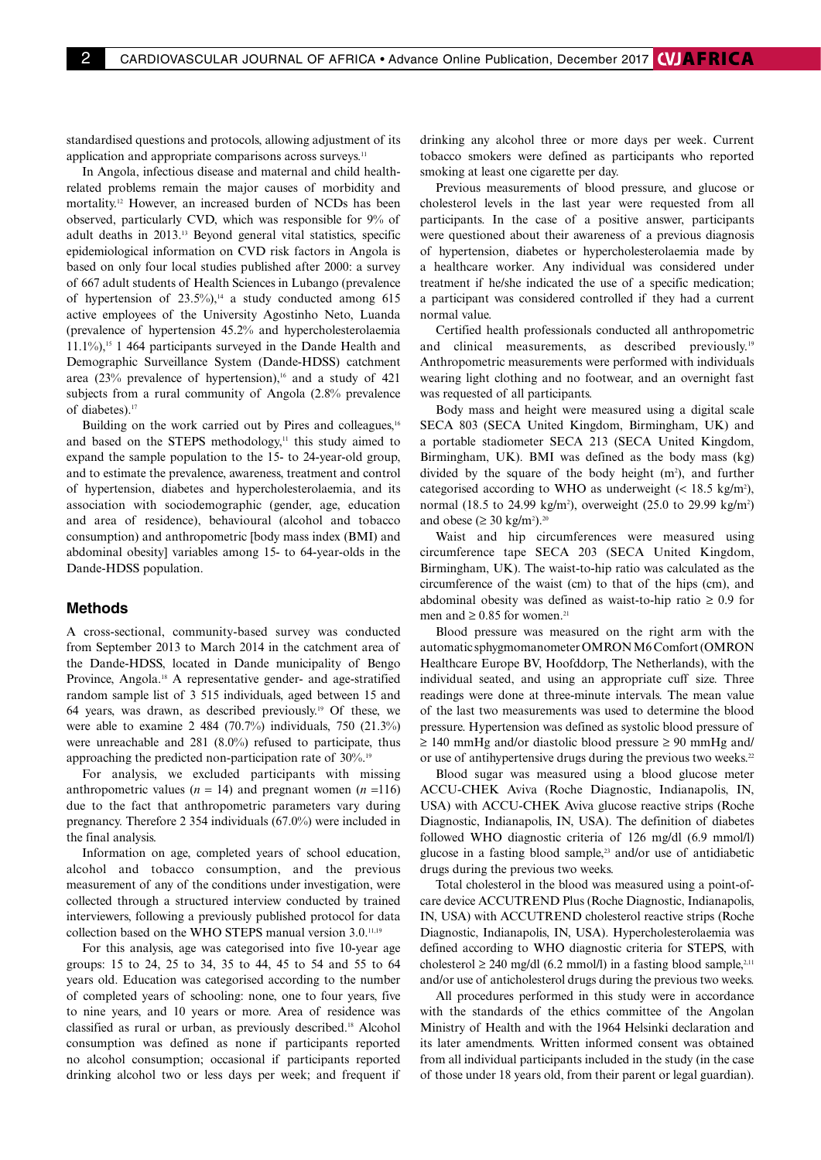standardised questions and protocols, allowing adjustment of its application and appropriate comparisons across surveys.<sup>11</sup>

In Angola, infectious disease and maternal and child healthrelated problems remain the major causes of morbidity and mortality.12 However, an increased burden of NCDs has been observed, particularly CVD, which was responsible for 9% of adult deaths in 2013.13 Beyond general vital statistics, specific epidemiological information on CVD risk factors in Angola is based on only four local studies published after 2000: a survey of 667 adult students of Health Sciences in Lubango (prevalence of hypertension of  $23.5\%$ ),<sup>14</sup> a study conducted among 615 active employees of the University Agostinho Neto, Luanda (prevalence of hypertension 45.2% and hypercholesterolaemia  $11.1\%$ ),<sup>15</sup> 1 464 participants surveyed in the Dande Health and Demographic Surveillance System (Dande-HDSS) catchment area  $(23\%$  prevalence of hypertension),<sup>16</sup> and a study of 421 subjects from a rural community of Angola (2.8% prevalence of diabetes).<sup>17</sup>

Building on the work carried out by Pires and colleagues,<sup>16</sup> and based on the STEPS methodology,<sup>11</sup> this study aimed to expand the sample population to the 15- to 24-year-old group, and to estimate the prevalence, awareness, treatment and control of hypertension, diabetes and hypercholesterolaemia, and its association with sociodemographic (gender, age, education and area of residence), behavioural (alcohol and tobacco consumption) and anthropometric [body mass index (BMI) and abdominal obesity] variables among 15- to 64-year-olds in the Dande-HDSS population.

#### **Methods**

A cross-sectional, community-based survey was conducted from September 2013 to March 2014 in the catchment area of the Dande-HDSS, located in Dande municipality of Bengo Province, Angola.18 A representative gender- and age-stratified random sample list of 3 515 individuals, aged between 15 and 64 years, was drawn, as described previously.19 Of these, we were able to examine 2 484 (70.7%) individuals, 750 (21.3%) were unreachable and 281 (8.0%) refused to participate, thus approaching the predicted non-participation rate of 30%.<sup>19</sup>

For analysis, we excluded participants with missing anthropometric values  $(n = 14)$  and pregnant women  $(n = 116)$ due to the fact that anthropometric parameters vary during pregnancy. Therefore 2 354 individuals (67.0%) were included in the final analysis.

Information on age, completed years of school education, alcohol and tobacco consumption, and the previous measurement of any of the conditions under investigation, were collected through a structured interview conducted by trained interviewers, following a previously published protocol for data collection based on the WHO STEPS manual version 3.0.11,19

For this analysis, age was categorised into five 10-year age groups: 15 to 24, 25 to 34, 35 to 44, 45 to 54 and 55 to 64 years old. Education was categorised according to the number of completed years of schooling: none, one to four years, five to nine years, and 10 years or more. Area of residence was classified as rural or urban, as previously described.18 Alcohol consumption was defined as none if participants reported no alcohol consumption; occasional if participants reported drinking alcohol two or less days per week; and frequent if drinking any alcohol three or more days per week. Current tobacco smokers were defined as participants who reported smoking at least one cigarette per day.

Previous measurements of blood pressure, and glucose or cholesterol levels in the last year were requested from all participants. In the case of a positive answer, participants were questioned about their awareness of a previous diagnosis of hypertension, diabetes or hypercholesterolaemia made by a healthcare worker. Any individual was considered under treatment if he/she indicated the use of a specific medication; a participant was considered controlled if they had a current normal value.

Certified health professionals conducted all anthropometric and clinical measurements, as described previously.19 Anthropometric measurements were performed with individuals wearing light clothing and no footwear, and an overnight fast was requested of all participants.

Body mass and height were measured using a digital scale SECA 803 (SECA United Kingdom, Birmingham, UK) and a portable stadiometer SECA 213 (SECA United Kingdom, Birmingham, UK). BMI was defined as the body mass (kg) divided by the square of the body height  $(m^2)$ , and further categorised according to WHO as underweight  $\left($  < 18.5 kg/m<sup>2</sup>), normal (18.5 to 24.99 kg/m<sup>2</sup>), overweight (25.0 to 29.99 kg/m<sup>2</sup>) and obese ( $\geq 30 \text{ kg/m}^2$ ).<sup>20</sup>

Waist and hip circumferences were measured using circumference tape SECA 203 (SECA United Kingdom, Birmingham, UK). The waist-to-hip ratio was calculated as the circumference of the waist (cm) to that of the hips (cm), and abdominal obesity was defined as waist-to-hip ratio  $\geq 0.9$  for men and  $\geq 0.85$  for women.<sup>21</sup>

Blood pressure was measured on the right arm with the automatic sphygmomanometer OMRON M6 Comfort (OMRON Healthcare Europe BV, Hoofddorp, The Netherlands), with the individual seated, and using an appropriate cuff size. Three readings were done at three-minute intervals. The mean value of the last two measurements was used to determine the blood pressure. Hypertension was defined as systolic blood pressure of  $\geq$  140 mmHg and/or diastolic blood pressure  $\geq$  90 mmHg and/ or use of antihypertensive drugs during the previous two weeks.<sup>22</sup>

Blood sugar was measured using a blood glucose meter ACCU-CHEK Aviva (Roche Diagnostic, Indianapolis, IN, USA) with ACCU-CHEK Aviva glucose reactive strips (Roche Diagnostic, Indianapolis, IN, USA). The definition of diabetes followed WHO diagnostic criteria of 126 mg/dl (6.9 mmol/l) glucose in a fasting blood sample,<sup>23</sup> and/or use of antidiabetic drugs during the previous two weeks.

Total cholesterol in the blood was measured using a point-ofcare device ACCUTREND Plus (Roche Diagnostic, Indianapolis, IN, USA) with ACCUTREND cholesterol reactive strips (Roche Diagnostic, Indianapolis, IN, USA). Hypercholesterolaemia was defined according to WHO diagnostic criteria for STEPS, with cholesterol  $\geq 240$  mg/dl (6.2 mmol/l) in a fasting blood sample,<sup>2,11</sup> and/or use of anticholesterol drugs during the previous two weeks.

All procedures performed in this study were in accordance with the standards of the ethics committee of the Angolan Ministry of Health and with the 1964 Helsinki declaration and its later amendments. Written informed consent was obtained from all individual participants included in the study (in the case of those under 18 years old, from their parent or legal guardian).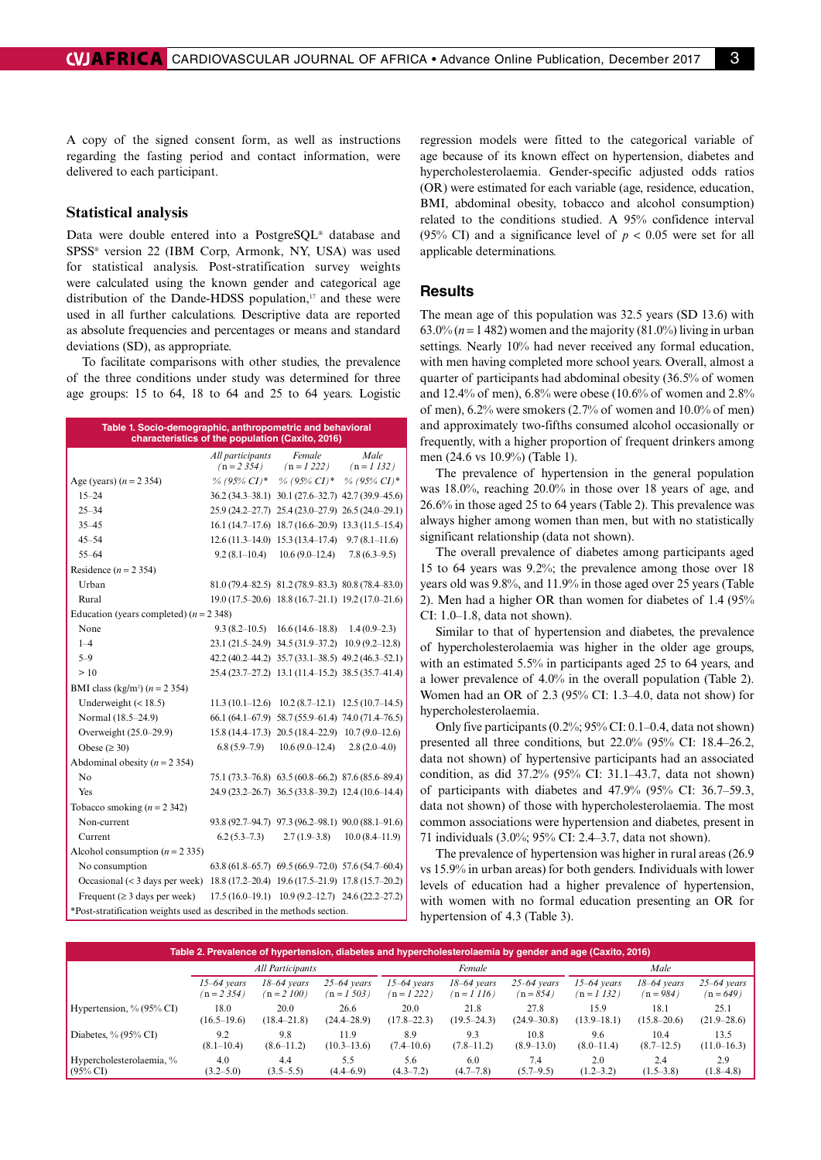#### **Statistical analysis**

delivered to each participant.

Data were double entered into a PostgreSQL® database and SPSS® version 22 (IBM Corp, Armonk, NY, USA) was used for statistical analysis. Post-stratification survey weights were calculated using the known gender and categorical age distribution of the Dande-HDSS population,<sup>17</sup> and these were used in all further calculations. Descriptive data are reported as absolute frequencies and percentages or means and standard deviations (SD), as appropriate.

regarding the fasting period and contact information, were

To facilitate comparisons with other studies, the prevalence of the three conditions under study was determined for three age groups: 15 to 64, 18 to 64 and 25 to 64 years. Logistic

| Table 1. Socio-demographic, anthropometric and behavioral<br>characteristics of the population (Caxito, 2016) |                                  |                                                             |                                    |  |  |  |  |  |
|---------------------------------------------------------------------------------------------------------------|----------------------------------|-------------------------------------------------------------|------------------------------------|--|--|--|--|--|
|                                                                                                               | All participants<br>$(n = 2354)$ | Female<br>$(n = 1222)$                                      | Male<br>$(n = 1 132)$              |  |  |  |  |  |
| Age (years) $(n = 2 354)$                                                                                     | % (95% CI)*                      | $\%$ (95% CI)* $\%$ (95% CI)*                               |                                    |  |  |  |  |  |
| $15 - 24$                                                                                                     |                                  | 36.2 (34.3-38.1) 30.1 (27.6-32.7) 42.7 (39.9-45.6)          |                                    |  |  |  |  |  |
| $25 - 34$                                                                                                     |                                  | $25.9(24.2-27.7)$ $25.4(23.0-27.9)$ $26.5(24.0-29.1)$       |                                    |  |  |  |  |  |
| $35 - 45$                                                                                                     |                                  | $16.1(14.7-17.6)$ $18.7(16.6-20.9)$ $13.3(11.5-15.4)$       |                                    |  |  |  |  |  |
| $45 - 54$                                                                                                     |                                  | $12.6(11.3-14.0)$ $15.3(13.4-17.4)$                         | $9.7(8.1-11.6)$                    |  |  |  |  |  |
| $55 - 64$                                                                                                     | $9.2(8.1-10.4)$                  | $10.6(9.0-12.4)$                                            | $7.8(6.3-9.5)$                     |  |  |  |  |  |
| Residence ( $n = 2,354$ )                                                                                     |                                  |                                                             |                                    |  |  |  |  |  |
| Urban                                                                                                         |                                  | $81.0(79.4 - 82.5)$ $81.2(78.9 - 83.3)$ $80.8(78.4 - 83.0)$ |                                    |  |  |  |  |  |
| Rural                                                                                                         |                                  | $19.0(17.5-20.6)$ $18.8(16.7-21.1)$ $19.2(17.0-21.6)$       |                                    |  |  |  |  |  |
| Education (years completed) $(n = 2, 348)$                                                                    |                                  |                                                             |                                    |  |  |  |  |  |
| None                                                                                                          |                                  | $9.3(8.2-10.5)$ $16.6(14.6-18.8)$ $1.4(0.9-2.3)$            |                                    |  |  |  |  |  |
| $1 - 4$                                                                                                       |                                  | 23.1 (21.5–24.9) 34.5 (31.9–37.2) 10.9 (9.2–12.8)           |                                    |  |  |  |  |  |
| $5 - 9$                                                                                                       |                                  | 42.2 (40.2–44.2) 35.7 (33.1–38.5) 49.2 (46.3–52.1)          |                                    |  |  |  |  |  |
| >10                                                                                                           |                                  | 25.4 (23.7–27.2) 13.1 (11.4–15.2) 38.5 (35.7–41.4)          |                                    |  |  |  |  |  |
| BMI class (kg/m <sup>2</sup> ) $(n = 2.354)$                                                                  |                                  |                                                             |                                    |  |  |  |  |  |
| Underweight $(< 18.5)$                                                                                        | $11.3(10.1-12.6)$                |                                                             | $10.2(8.7-12.1)$ $12.5(10.7-14.5)$ |  |  |  |  |  |
| Normal (18.5–24.9)                                                                                            |                                  | 66.1 (64.1–67.9) 58.7 (55.9–61.4) 74.0 (71.4–76.5)          |                                    |  |  |  |  |  |
| Overweight (25.0–29.9)                                                                                        |                                  | $15.8(14.4-17.3)$ $20.5(18.4-22.9)$ $10.7(9.0-12.6)$        |                                    |  |  |  |  |  |
| Obese ( $\geq$ 30)                                                                                            | $6.8(5.9-7.9)$                   | $10.6(9.0-12.4)$                                            | $2.8(2.0-4.0)$                     |  |  |  |  |  |
| Abdominal obesity ( $n = 2,354$ )                                                                             |                                  |                                                             |                                    |  |  |  |  |  |
| No                                                                                                            |                                  | 75.1 (73.3–76.8) 63.5 (60.8–66.2) 87.6 (85.6–89.4)          |                                    |  |  |  |  |  |
| Yes                                                                                                           |                                  | 24.9 (23.2-26.7) 36.5 (33.8-39.2) 12.4 (10.6-14.4)          |                                    |  |  |  |  |  |
| Tobacco smoking $(n = 2, 342)$                                                                                |                                  |                                                             |                                    |  |  |  |  |  |
| Non-current                                                                                                   |                                  | 93.8 (92.7–94.7) 97.3 (96.2–98.1) 90.0 (88.1–91.6)          |                                    |  |  |  |  |  |
| Current                                                                                                       | $6.2(5.3-7.3)$                   | $2.7(1.9-3.8)$                                              | $10.0(8.4 - 11.9)$                 |  |  |  |  |  |
| Alcohol consumption ( $n = 2$ 335)                                                                            |                                  |                                                             |                                    |  |  |  |  |  |
| No consumption                                                                                                |                                  | $63.8(61.8-65.7)$ $69.5(66.9-72.0)$ $57.6(54.7-60.4)$       |                                    |  |  |  |  |  |
| Occasional (< 3 days per week) 18.8 (17.2–20.4) 19.6 (17.5–21.9) 17.8 (15.7–20.2)                             |                                  |                                                             |                                    |  |  |  |  |  |
| Frequent ( $\geq$ 3 days per week)                                                                            |                                  | $17.5(16.0-19.1)$ $10.9(9.2-12.7)$ $24.6(22.2-27.2)$        |                                    |  |  |  |  |  |
| *Post-stratification weights used as described in the methods section.                                        |                                  |                                                             |                                    |  |  |  |  |  |

regression models were fitted to the categorical variable of age because of its known effect on hypertension, diabetes and hypercholesterolaemia. Gender-specific adjusted odds ratios (OR) were estimated for each variable (age, residence, education, BMI, abdominal obesity, tobacco and alcohol consumption) related to the conditions studied. A 95% confidence interval (95% CI) and a significance level of  $p < 0.05$  were set for all applicable determinations.

#### **Results**

The mean age of this population was 32.5 years (SD 13.6) with 63.0% ( $n = 1482$ ) women and the majority (81.0%) living in urban settings. Nearly 10% had never received any formal education, with men having completed more school years. Overall, almost a quarter of participants had abdominal obesity (36.5% of women and 12.4% of men), 6.8% were obese (10.6% of women and 2.8% of men), 6.2% were smokers (2.7% of women and 10.0% of men) and approximately two-fifths consumed alcohol occasionally or frequently, with a higher proportion of frequent drinkers among men (24.6 vs 10.9%) (Table 1).

The prevalence of hypertension in the general population was 18.0%, reaching 20.0% in those over 18 years of age, and 26.6% in those aged 25 to 64 years (Table 2). This prevalence was always higher among women than men, but with no statistically significant relationship (data not shown).

The overall prevalence of diabetes among participants aged 15 to 64 years was 9.2%; the prevalence among those over 18 years old was 9.8%, and 11.9% in those aged over 25 years (Table 2). Men had a higher OR than women for diabetes of 1.4 (95% CI: 1.0–1.8, data not shown).

Similar to that of hypertension and diabetes, the prevalence of hypercholesterolaemia was higher in the older age groups, with an estimated 5.5% in participants aged 25 to 64 years, and a lower prevalence of 4.0% in the overall population (Table 2). Women had an OR of 2.3 (95% CI: 1.3–4.0, data not show) for hypercholesterolaemia.

Only five participants (0.2%; 95% CI: 0.1–0.4, data not shown) presented all three conditions, but 22.0% (95% CI: 18.4–26.2, data not shown) of hypertensive participants had an associated condition, as did 37.2% (95% CI: 31.1–43.7, data not shown) of participants with diabetes and 47.9% (95% CI: 36.7–59.3, data not shown) of those with hypercholesterolaemia. The most common associations were hypertension and diabetes, present in 71 individuals (3.0%; 95% CI: 2.4–3.7, data not shown).

The prevalence of hypertension was higher in rural areas (26.9 vs 15.9% in urban areas) for both genders. Individuals with lower levels of education had a higher prevalence of hypertension, with women with no formal education presenting an OR for hypertension of 4.3 (Table 3).

| Table 2. Prevalence of hypertension, diabetes and hypercholesterolaemia by gender and age (Caxito, 2016) |                  |                 |                 |                 |                 |                 |                 |                 |                 |  |
|----------------------------------------------------------------------------------------------------------|------------------|-----------------|-----------------|-----------------|-----------------|-----------------|-----------------|-----------------|-----------------|--|
|                                                                                                          | All Participants |                 |                 |                 | Female          |                 |                 | Male            |                 |  |
|                                                                                                          | $15-64$ years    | $18-64$ years   | $25-64$ years   | $15-64$ years   | $18-64$ years   | $25-64$ years   | $15-64$ years   | $18-64$ years   | $25-64$ years   |  |
|                                                                                                          | $(n=2354)$       | $(n = 2 100)$   | $n = 1503$      | $(n=1222)$      | $(n = 1116)$    | $(n = 854)$     | $(n = 1132)$    | $(n = 984)$     | $(n = 649)$     |  |
| Hypertension, $\%$ (95 $\%$ CI)                                                                          | 18.0             | 20.0            | 26.6            | 20.0            | 21.8            | 27.8            | 15.9            | 18.1            | 25.1            |  |
|                                                                                                          | $(16.5 - 19.6)$  | $(18.4 - 21.8)$ | $(24.4 - 28.9)$ | $(17.8 - 22.3)$ | $(19.5 - 24.3)$ | $(24.9 - 30.8)$ | $(13.9 - 18.1)$ | $(15.8 - 20.6)$ | $(21.9 - 28.6)$ |  |
| Diabetes, $\%$ (95 $\%$ CI)                                                                              | 9.2              | 9.8             | 11.9            | 8.9             | 9.3             | 10.8            | 9.6             | 10.4            | 13.5            |  |
|                                                                                                          | $(8.1 - 10.4)$   | $(8.6 - 11.2)$  | $(10.3 - 13.6)$ | $(7.4 - 10.6)$  | $(7.8 - 11.2)$  | $(8.9 - 13.0)$  | $(8.0 - 11.4)$  | (8.7–12.5)      | $(11.0 - 16.3)$ |  |
| Hypercholesterolaemia, %                                                                                 | 4.0              | 4.4             | 5.5             | 5.6             | 6.0             | 7.4             | 2.0             | 2.4             | 2.9             |  |
| $(95\% \text{ CI})$                                                                                      | $(3.2 - 5.0)$    | $(3.5 - 5.5)$   | $(4.4 - 6.9)$   | $(4.3 - 7.2)$   | $(4.7 - 7.8)$   | $(5.7 - 9.5)$   | $(1.2 - 3.2)$   | $(1.5-3.8)$     | $(1.8 - 4.8)$   |  |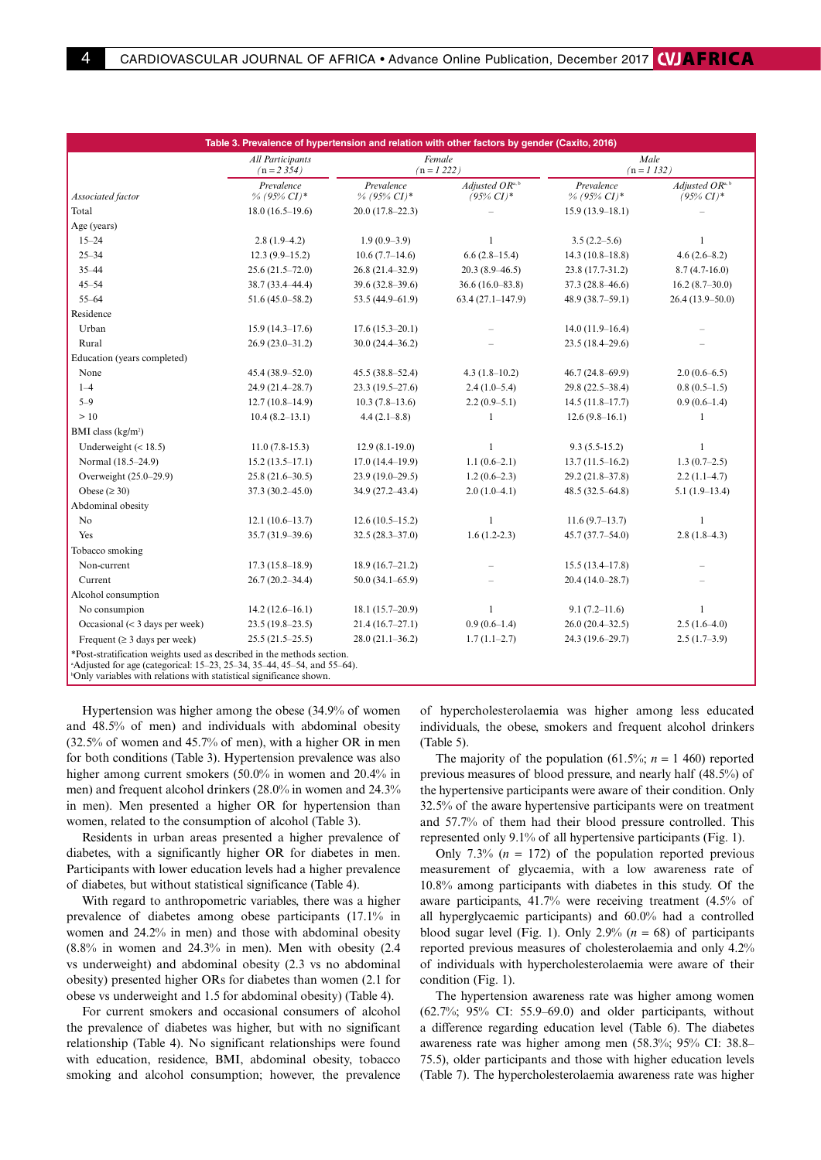| Table 3. Prevalence of hypertension and relation with other factors by gender (Caxito, 2016)                                                        |                                  |                              |                                                        |                              |                                                        |  |  |  |
|-----------------------------------------------------------------------------------------------------------------------------------------------------|----------------------------------|------------------------------|--------------------------------------------------------|------------------------------|--------------------------------------------------------|--|--|--|
|                                                                                                                                                     | All Participants<br>$(n = 2354)$ |                              | Female<br>$(n = 1222)$                                 |                              | Male<br>$(n = 1 132)$                                  |  |  |  |
| Associated factor                                                                                                                                   | Prevalence<br>$\%$ (95% CI)*     | Prevalence<br>$\%$ (95% CI)* | Adjusted $OR^{\mathsf{a},\mathsf{b}}$<br>$(95\% CI)^*$ | Prevalence<br>$\%$ (95% CI)* | Adjusted $OR^{\mathsf{a},\mathsf{b}}$<br>$(95\% CI)^*$ |  |  |  |
| Total                                                                                                                                               | $18.0(16.5-19.6)$                | $20.0(17.8-22.3)$            |                                                        | $15.9(13.9-18.1)$            |                                                        |  |  |  |
| Age (years)                                                                                                                                         |                                  |                              |                                                        |                              |                                                        |  |  |  |
| $15 - 24$                                                                                                                                           | $2.8(1.9-4.2)$                   | $1.9(0.9-3.9)$               | $\mathbf{1}$                                           | $3.5(2.2-5.6)$               | $\mathbf{1}$                                           |  |  |  |
| $25 - 34$                                                                                                                                           | $12.3(9.9-15.2)$                 | $10.6(7.7-14.6)$             | $6.6(2.8-15.4)$                                        | $14.3(10.8-18.8)$            | $4.6(2.6 - 8.2)$                                       |  |  |  |
| $35 - 44$                                                                                                                                           | $25.6(21.5 - 72.0)$              | $26.8(21.4-32.9)$            | $20.3(8.9 - 46.5)$                                     | 23.8 (17.7-31.2)             | $8.7(4.7-16.0)$                                        |  |  |  |
| $45 - 54$                                                                                                                                           | 38.7 (33.4-44.4)                 | $39.6(32.8-39.6)$            | $36.6(16.0 - 83.8)$                                    | $37.3(28.8 - 46.6)$          | $16.2(8.7-30.0)$                                       |  |  |  |
| $55 - 64$                                                                                                                                           | $51.6(45.0 - 58.2)$              | 53.5 (44.9-61.9)             | $63.4(27.1 - 147.9)$                                   | $48.9(38.7-59.1)$            | $26.4(13.9-50.0)$                                      |  |  |  |
| Residence                                                                                                                                           |                                  |                              |                                                        |                              |                                                        |  |  |  |
| Urban                                                                                                                                               | $15.9(14.3-17.6)$                | $17.6(15.3-20.1)$            |                                                        | $14.0(11.9-16.4)$            |                                                        |  |  |  |
| Rural                                                                                                                                               | $26.9(23.0-31.2)$                | $30.0(24.4 - 36.2)$          |                                                        | $23.5(18.4-29.6)$            |                                                        |  |  |  |
| Education (years completed)                                                                                                                         |                                  |                              |                                                        |                              |                                                        |  |  |  |
| None                                                                                                                                                | $45.4(38.9 - 52.0)$              | $45.5(38.8 - 52.4)$          | $4.3(1.8-10.2)$                                        | $46.7(24.8 - 69.9)$          | $2.0(0.6-6.5)$                                         |  |  |  |
| $1 - 4$                                                                                                                                             | 24.9 (21.4-28.7)                 | $23.3(19.5-27.6)$            | $2.4(1.0-5.4)$                                         | $29.8(22.5 - 38.4)$          | $0.8(0.5-1.5)$                                         |  |  |  |
| $5 - 9$                                                                                                                                             | $12.7(10.8-14.9)$                | $10.3(7.8-13.6)$             | $2.2(0.9-5.1)$                                         | $14.5(11.8-17.7)$            | $0.9(0.6-1.4)$                                         |  |  |  |
| >10                                                                                                                                                 | $10.4(8.2-13.1)$                 | $4.4(2.1 - 8.8)$             | 1                                                      | $12.6(9.8-16.1)$             | $\mathbf{1}$                                           |  |  |  |
| BMI class $(kg/m2)$                                                                                                                                 |                                  |                              |                                                        |                              |                                                        |  |  |  |
| Underweight $(< 18.5)$                                                                                                                              | $11.0(7.8-15.3)$                 | $12.9(8.1-19.0)$             | 1                                                      | $9.3(5.5-15.2)$              | $\mathbf{1}$                                           |  |  |  |
| Normal (18.5-24.9)                                                                                                                                  | $15.2(13.5-17.1)$                | $17.0(14.4 - 19.9)$          | $1.1(0.6-2.1)$                                         | $13.7(11.5-16.2)$            | $1.3(0.7-2.5)$                                         |  |  |  |
| Overweight (25.0-29.9)                                                                                                                              | $25.8(21.6-30.5)$                | $23.9(19.0-29.5)$            | $1.2(0.6-2.3)$                                         | $29.2(21.8-37.8)$            | $2.2(1.1-4.7)$                                         |  |  |  |
| Obese ( $\geq 30$ )                                                                                                                                 | $37.3(30.2 - 45.0)$              | 34.9 (27.2-43.4)             | $2.0(1.0-4.1)$                                         | $48.5(32.5 - 64.8)$          | $5.1(1.9-13.4)$                                        |  |  |  |
| Abdominal obesity                                                                                                                                   |                                  |                              |                                                        |                              |                                                        |  |  |  |
| No                                                                                                                                                  | $12.1(10.6-13.7)$                | $12.6(10.5-15.2)$            | 1                                                      | $11.6(9.7-13.7)$             | 1                                                      |  |  |  |
| Yes                                                                                                                                                 | $35.7(31.9-39.6)$                | $32.5(28.3 - 37.0)$          | $1.6(1.2-2.3)$                                         | $45.7(37.7-54.0)$            | $2.8(1.8-4.3)$                                         |  |  |  |
| Tobacco smoking                                                                                                                                     |                                  |                              |                                                        |                              |                                                        |  |  |  |
| Non-current                                                                                                                                         | $17.3(15.8-18.9)$                | $18.9(16.7-21.2)$            |                                                        | $15.5(13.4 - 17.8)$          |                                                        |  |  |  |
| Current                                                                                                                                             | $26.7(20.2 - 34.4)$              | $50.0(34.1-65.9)$            |                                                        | $20.4(14.0-28.7)$            |                                                        |  |  |  |
| Alcohol consumption                                                                                                                                 |                                  |                              |                                                        |                              |                                                        |  |  |  |
| No consumpion                                                                                                                                       | $14.2(12.6-16.1)$                | $18.1(15.7-20.9)$            | $\mathbf{1}$                                           | $9.1(7.2 - 11.6)$            | $\mathbf{1}$                                           |  |  |  |
| Occasional $(< 3$ days per week)                                                                                                                    | $23.5(19.8-23.5)$                | $21.4(16.7-27.1)$            | $0.9(0.6-1.4)$                                         | $26.0(20.4-32.5)$            | $2.5(1.6-4.0)$                                         |  |  |  |
| Frequent ( $\geq$ 3 days per week)                                                                                                                  | $25.5(21.5-25.5)$                | $28.0(21.1-36.2)$            | $1.7(1.1-2.7)$                                         | 24.3 (19.6-29.7)             | $2.5(1.7-3.9)$                                         |  |  |  |
| *Post-stratification weights used as described in the methods section.<br>$A$ Adjusted for age (categorical: 15–23, 25–34, 35–44, 45–54, and 55–64) |                                  |                              |                                                        |                              |                                                        |  |  |  |

Adjusted for age (categorical: 15–23, 25–34, 35–44, 45–54, and 55–64). b Only variables with relations with statistical significance shown.

Hypertension was higher among the obese (34.9% of women and 48.5% of men) and individuals with abdominal obesity (32.5% of women and 45.7% of men), with a higher OR in men for both conditions (Table 3). Hypertension prevalence was also higher among current smokers (50.0% in women and 20.4% in men) and frequent alcohol drinkers (28.0% in women and 24.3% in men). Men presented a higher OR for hypertension than women, related to the consumption of alcohol (Table 3).

Residents in urban areas presented a higher prevalence of diabetes, with a significantly higher OR for diabetes in men. Participants with lower education levels had a higher prevalence of diabetes, but without statistical significance (Table 4).

With regard to anthropometric variables, there was a higher prevalence of diabetes among obese participants (17.1% in women and 24.2% in men) and those with abdominal obesity  $(8.8\%$  in women and 24.3% in men). Men with obesity  $(2.4)$ vs underweight) and abdominal obesity (2.3 vs no abdominal obesity) presented higher ORs for diabetes than women (2.1 for obese vs underweight and 1.5 for abdominal obesity) (Table 4).

For current smokers and occasional consumers of alcohol the prevalence of diabetes was higher, but with no significant relationship (Table 4). No significant relationships were found with education, residence, BMI, abdominal obesity, tobacco smoking and alcohol consumption; however, the prevalence

of hypercholesterolaemia was higher among less educated individuals, the obese, smokers and frequent alcohol drinkers (Table 5).

The majority of the population  $(61.5\%; n = 1, 460)$  reported previous measures of blood pressure, and nearly half (48.5%) of the hypertensive participants were aware of their condition. Only 32.5% of the aware hypertensive participants were on treatment and 57.7% of them had their blood pressure controlled. This represented only 9.1% of all hypertensive participants (Fig. 1).

Only 7.3%  $(n = 172)$  of the population reported previous measurement of glycaemia, with a low awareness rate of 10.8% among participants with diabetes in this study. Of the aware participants, 41.7% were receiving treatment (4.5% of all hyperglycaemic participants) and 60.0% had a controlled blood sugar level (Fig. 1). Only  $2.9\%$  ( $n = 68$ ) of participants reported previous measures of cholesterolaemia and only 4.2% of individuals with hypercholesterolaemia were aware of their condition (Fig. 1).

The hypertension awareness rate was higher among women (62.7%; 95% CI: 55.9–69.0) and older participants, without a difference regarding education level (Table 6). The diabetes awareness rate was higher among men (58.3%; 95% CI: 38.8– 75.5), older participants and those with higher education levels (Table 7). The hypercholesterolaemia awareness rate was higher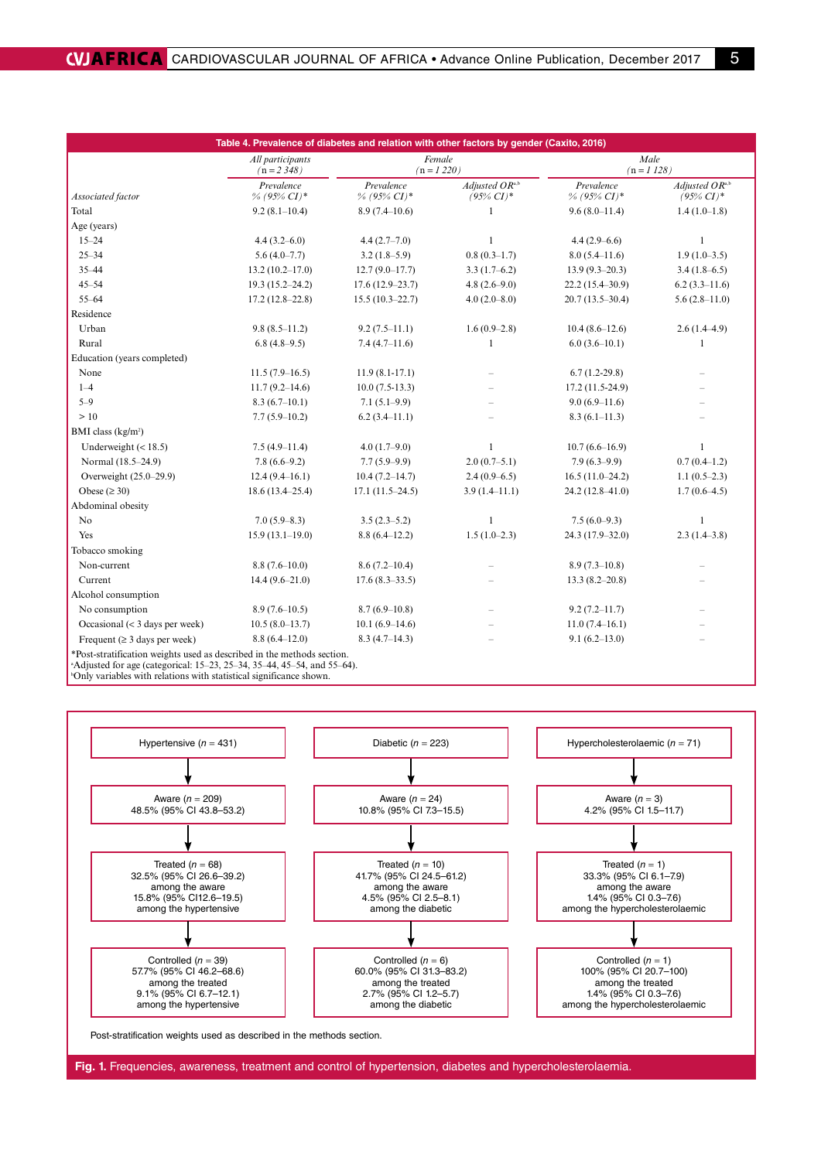| Table 4. Prevalence of diabetes and relation with other factors by gender (Caxito, 2016) |                                    |                              |                                |                              |                                 |  |  |  |  |
|------------------------------------------------------------------------------------------|------------------------------------|------------------------------|--------------------------------|------------------------------|---------------------------------|--|--|--|--|
|                                                                                          | All participants<br>$(n = 2, 348)$ | Female<br>$(n = 1220)$       |                                | Male<br>$(n = 1 128)$        |                                 |  |  |  |  |
| Associated factor                                                                        | Prevalence<br>$\%$ (95% CI)*       | Prevalence<br>$\%$ (95% CI)* | Adjusted ORa,b<br>$(95\% CI)*$ | Prevalence<br>% (95% $CI$ )* | Adjusted ORa,b<br>$(95\% CI)^*$ |  |  |  |  |
| Total                                                                                    | $9.2(8.1-10.4)$                    | $8.9(7.4 - 10.6)$            | 1                              | $9.6(8.0 - 11.4)$            | $1.4(1.0-1.8)$                  |  |  |  |  |
| Age (years)                                                                              |                                    |                              |                                |                              |                                 |  |  |  |  |
| $15 - 24$                                                                                | $4.4(3.2 - 6.0)$                   | $4.4(2.7-7.0)$               | $\mathbf{1}$                   | $4.4(2.9-6.6)$               | $\mathbf{1}$                    |  |  |  |  |
| $25 - 34$                                                                                | $5.6(4.0-7.7)$                     | $3.2(1.8-5.9)$               | $0.8(0.3-1.7)$                 | $8.0(5.4 - 11.6)$            | $1.9(1.0-3.5)$                  |  |  |  |  |
| $35 - 44$                                                                                | $13.2(10.2 - 17.0)$                | $12.7(9.0 - 17.7)$           | $3.3(1.7-6.2)$                 | $13.9(9.3-20.3)$             | $3.4(1.8-6.5)$                  |  |  |  |  |
| $45 - 54$                                                                                | $19.3(15.2 - 24.2)$                | $17.6(12.9-23.7)$            | $4.8(2.6-9.0)$                 | $22.2(15.4 - 30.9)$          | $6.2(3.3-11.6)$                 |  |  |  |  |
| $55 - 64$                                                                                | $17.2(12.8-22.8)$                  | $15.5(10.3-22.7)$            | $4.0(2.0-8.0)$                 | $20.7(13.5-30.4)$            | $5.6(2.8-11.0)$                 |  |  |  |  |
| Residence                                                                                |                                    |                              |                                |                              |                                 |  |  |  |  |
| Urban                                                                                    | $9.8(8.5 - 11.2)$                  | $9.2(7.5-11.1)$              | $1.6(0.9-2.8)$                 | $10.4(8.6-12.6)$             | $2.6(1.4-4.9)$                  |  |  |  |  |
| Rural                                                                                    | $6.8(4.8-9.5)$                     | $7.4(4.7-11.6)$              | $\mathbf{1}$                   | $6.0(3.6-10.1)$              | $\mathbf{1}$                    |  |  |  |  |
| Education (years completed)                                                              |                                    |                              |                                |                              |                                 |  |  |  |  |
| None                                                                                     | $11.5(7.9-16.5)$                   | $11.9(8.1-17.1)$             |                                | $6.7(1.2-29.8)$              |                                 |  |  |  |  |
| $1 - 4$                                                                                  | $11.7(9.2 - 14.6)$                 | $10.0(7.5-13.3)$             |                                | 17.2 (11.5-24.9)             |                                 |  |  |  |  |
| $5 - 9$                                                                                  | $8.3(6.7-10.1)$                    | $7.1(5.1-9.9)$               |                                | $9.0(6.9-11.6)$              |                                 |  |  |  |  |
| >10                                                                                      | $7.7(5.9-10.2)$                    | $6.2(3.4-11.1)$              |                                | $8.3(6.1 - 11.3)$            |                                 |  |  |  |  |
| BMI class $(kg/m2)$                                                                      |                                    |                              |                                |                              |                                 |  |  |  |  |
| Underweight $(< 18.5)$                                                                   | $7.5(4.9-11.4)$                    | $4.0(1.7-9.0)$               | 1                              | $10.7(6.6 - 16.9)$           | 1                               |  |  |  |  |
| Normal (18.5-24.9)                                                                       | $7.8(6.6-9.2)$                     | $7.7(5.9-9.9)$               | $2.0(0.7-5.1)$                 | $7.9(6.3-9.9)$               | $0.7(0.4-1.2)$                  |  |  |  |  |
| Overweight (25.0-29.9)                                                                   | $12.4(9.4-16.1)$                   | $10.4(7.2 - 14.7)$           | $2.4(0.9-6.5)$                 | $16.5(11.0-24.2)$            | $1.1(0.5-2.3)$                  |  |  |  |  |
| Obese ( $\geq$ 30)                                                                       | $18.6(13.4 - 25.4)$                | $17.1(11.5-24.5)$            | $3.9(1.4-11.1)$                | 24.2 (12.8-41.0)             | $1.7(0.6-4.5)$                  |  |  |  |  |
| Abdominal obesity                                                                        |                                    |                              |                                |                              |                                 |  |  |  |  |
| No                                                                                       | $7.0(5.9-8.3)$                     | $3.5(2.3-5.2)$               | $\mathbf{1}$                   | $7.5(6.0-9.3)$               | $\mathbf{1}$                    |  |  |  |  |
| Yes                                                                                      | $15.9(13.1-19.0)$                  | $8.8(6.4-12.2)$              | $1.5(1.0-2.3)$                 | 24.3 (17.9-32.0)             | $2.3(1.4-3.8)$                  |  |  |  |  |
| Tobacco smoking                                                                          |                                    |                              |                                |                              |                                 |  |  |  |  |
| Non-current                                                                              | $8.8(7.6-10.0)$                    | $8.6(7.2 - 10.4)$            |                                | $8.9(7.3-10.8)$              |                                 |  |  |  |  |
| Current                                                                                  | $14.4(9.6-21.0)$                   | $17.6(8.3 - 33.5)$           |                                | $13.3(8.2 - 20.8)$           |                                 |  |  |  |  |
| Alcohol consumption                                                                      |                                    |                              |                                |                              |                                 |  |  |  |  |
| No consumption                                                                           | $8.9(7.6 - 10.5)$                  | $8.7(6.9-10.8)$              |                                | $9.2(7.2 - 11.7)$            |                                 |  |  |  |  |
| Occasional $(< 3$ days per week)                                                         | $10.5(8.0-13.7)$                   | $10.1(6.9-14.6)$             |                                | $11.0(7.4-16.1)$             |                                 |  |  |  |  |
| Frequent ( $\geq$ 3 days per week)                                                       | $8.8(6.4 - 12.0)$                  | $8.3(4.7-14.3)$              |                                | $9.1(6.2 - 13.0)$            |                                 |  |  |  |  |
| *Post-stratification weights used as described in the methods section.                   |                                    |                              |                                |                              |                                 |  |  |  |  |

a Adjusted for age (categorical: 15–23, 25–34, 35–44, 45–54, and 55–64).

b Only variables with relations with statistical significance shown.



**Fig. 1.** Frequencies, awareness, treatment and control of hypertension, diabetes and hypercholesterolaemia.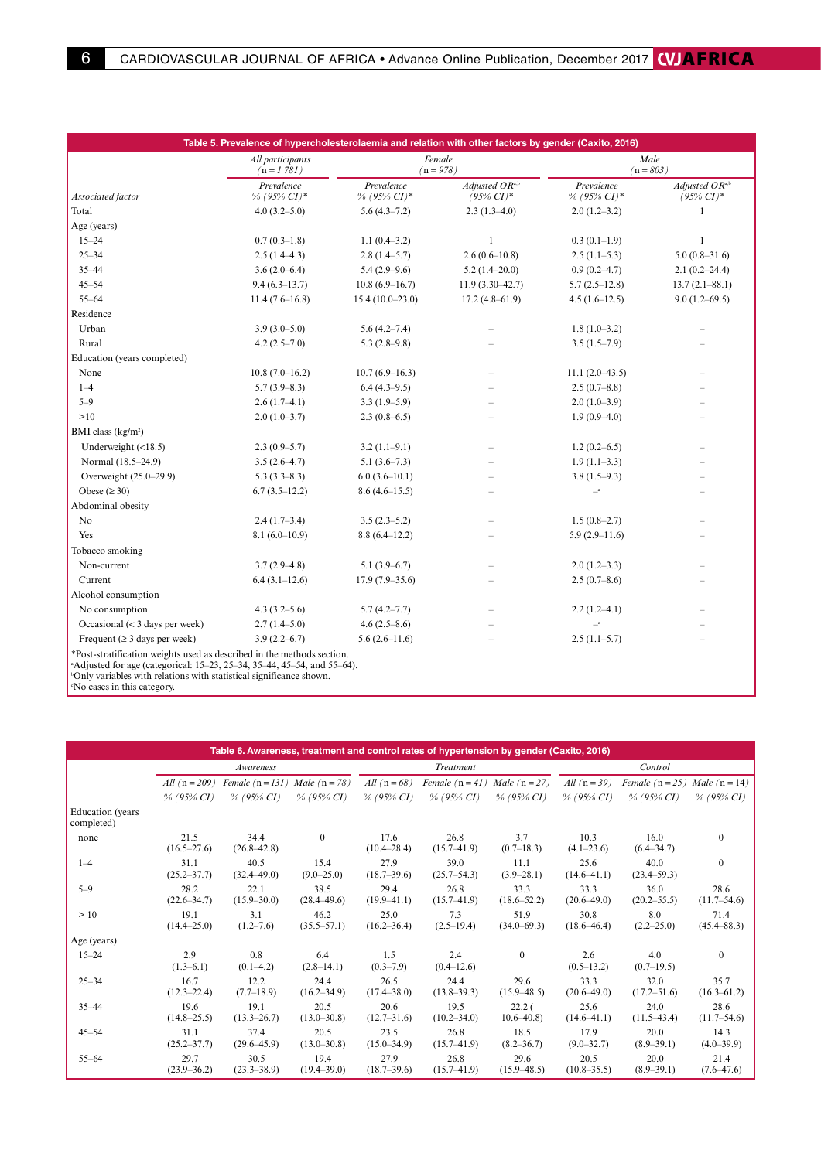| Table 5. Prevalence of hypercholesterolaemia and relation with other factors by gender (Caxito, 2016)                                                         |                                  |                           |                                    |                              |                                             |  |  |  |
|---------------------------------------------------------------------------------------------------------------------------------------------------------------|----------------------------------|---------------------------|------------------------------------|------------------------------|---------------------------------------------|--|--|--|
|                                                                                                                                                               | All participants<br>$(n = 1781)$ |                           | Female<br>$(n = 978)$              |                              | Male<br>$(n = 803)$                         |  |  |  |
| Associated factor                                                                                                                                             | Prevalence<br>$\%$ (95% CI)*     | Prevalence<br>% (95% CI)* | Adjusted $OR^a$ ,<br>$(95\% CI)^*$ | Prevalence<br>% (95% $CI$ )* | Adjusted $OR^{\text{a,b}}$<br>$(95\% CI)^*$ |  |  |  |
| Total                                                                                                                                                         | $4.0(3.2 - 5.0)$                 | $5.6(4.3-7.2)$            | $2.3(1.3-4.0)$                     | $2.0(1.2-3.2)$               | $\mathbf{1}$                                |  |  |  |
| Age (years)                                                                                                                                                   |                                  |                           |                                    |                              |                                             |  |  |  |
| $15 - 24$                                                                                                                                                     | $0.7(0.3-1.8)$                   | $1.1(0.4-3.2)$            | $\mathbf{1}$                       | $0.3(0.1-1.9)$               | $\mathbf{1}$                                |  |  |  |
| $25 - 34$                                                                                                                                                     | $2.5(1.4-4.3)$                   | $2.8(1.4-5.7)$            | $2.6(0.6-10.8)$                    | $2.5(1.1-5.3)$               | $5.0(0.8-31.6)$                             |  |  |  |
| $35 - 44$                                                                                                                                                     | $3.6(2.0-6.4)$                   | $5.4(2.9-9.6)$            | $5.2(1.4-20.0)$                    | $0.9(0.2 - 4.7)$             | $2.1(0.2 - 24.4)$                           |  |  |  |
| $45 - 54$                                                                                                                                                     | $9.4(6.3-13.7)$                  | $10.8(6.9 - 16.7)$        | $11.9(3.30-42.7)$                  | $5.7(2.5-12.8)$              | $13.7(2.1 - 88.1)$                          |  |  |  |
| $55 - 64$                                                                                                                                                     | $11.4(7.6-16.8)$                 | $15.4(10.0-23.0)$         | $17.2(4.8 - 61.9)$                 | $4.5(1.6-12.5)$              | $9.0(1.2-69.5)$                             |  |  |  |
| Residence                                                                                                                                                     |                                  |                           |                                    |                              |                                             |  |  |  |
| Urban                                                                                                                                                         | $3.9(3.0-5.0)$                   | $5.6(4.2 - 7.4)$          |                                    | $1.8(1.0-3.2)$               |                                             |  |  |  |
| Rural                                                                                                                                                         | $4.2(2.5-7.0)$                   | $5.3(2.8-9.8)$            |                                    | $3.5(1.5-7.9)$               |                                             |  |  |  |
| Education (years completed)                                                                                                                                   |                                  |                           |                                    |                              |                                             |  |  |  |
| None                                                                                                                                                          | $10.8(7.0 - 16.2)$               | $10.7(6.9-16.3)$          |                                    | $11.1(2.0-43.5)$             |                                             |  |  |  |
| $1 - 4$                                                                                                                                                       | $5.7(3.9-8.3)$                   | $6.4(4.3-9.5)$            |                                    | $2.5(0.7-8.8)$               |                                             |  |  |  |
| $5 - 9$                                                                                                                                                       | $2.6(1.7-4.1)$                   | $3.3(1.9-5.9)$            |                                    | $2.0(1.0-3.9)$               |                                             |  |  |  |
| >10                                                                                                                                                           | $2.0(1.0-3.7)$                   | $2.3(0.8-6.5)$            |                                    | $1.9(0.9-4.0)$               |                                             |  |  |  |
| BMI class (kg/m <sup>2</sup> )                                                                                                                                |                                  |                           |                                    |                              |                                             |  |  |  |
| Underweight $(\langle 18.5)$                                                                                                                                  | $2.3(0.9-5.7)$                   | $3.2(1.1-9.1)$            |                                    | $1.2(0.2-6.5)$               |                                             |  |  |  |
| Normal (18.5-24.9)                                                                                                                                            | $3.5(2.6-4.7)$                   | $5.1(3.6-7.3)$            |                                    | $1.9(1.1-3.3)$               |                                             |  |  |  |
| Overweight (25.0-29.9)                                                                                                                                        | $5.3(3.3-8.3)$                   | $6.0(3.6-10.1)$           |                                    | $3.8(1.5-9.3)$               |                                             |  |  |  |
| Obese $(\geq 30)$                                                                                                                                             | $6.7(3.5-12.2)$                  | $8.6(4.6-15.5)$           |                                    | $\_^{\rm a}$                 |                                             |  |  |  |
| Abdominal obesity                                                                                                                                             |                                  |                           |                                    |                              |                                             |  |  |  |
| No                                                                                                                                                            | $2.4(1.7-3.4)$                   | $3.5(2.3-5.2)$            |                                    | $1.5(0.8-2.7)$               |                                             |  |  |  |
| Yes                                                                                                                                                           | $8.1(6.0-10.9)$                  | $8.8(6.4 - 12.2)$         |                                    | $5.9(2.9-11.6)$              |                                             |  |  |  |
| Tobacco smoking                                                                                                                                               |                                  |                           |                                    |                              |                                             |  |  |  |
| Non-current                                                                                                                                                   | $3.7(2.9-4.8)$                   | $5.1(3.9-6.7)$            |                                    | $2.0(1.2-3.3)$               |                                             |  |  |  |
| Current                                                                                                                                                       | $6.4(3.1-12.6)$                  | $17.9(7.9-35.6)$          |                                    | $2.5(0.7-8.6)$               |                                             |  |  |  |
| Alcohol consumption                                                                                                                                           |                                  |                           |                                    |                              |                                             |  |  |  |
| No consumption                                                                                                                                                | $4.3(3.2 - 5.6)$                 | $5.7(4.2 - 7.7)$          |                                    | $2.2(1.2-4.1)$               |                                             |  |  |  |
| Occasional $(<$ 3 days per week)                                                                                                                              | $2.7(1.4-5.0)$                   | $4.6(2.5-8.6)$            |                                    | $\equiv$                     |                                             |  |  |  |
| Frequent ( $\geq 3$ days per week)                                                                                                                            | $3.9(2.2 - 6.7)$                 | $5.6(2.6-11.6)$           |                                    | $2.5(1.1-5.7)$               |                                             |  |  |  |
| *Post-stratification weights used as described in the methods section.<br><sup>a</sup> Adjusted for age (categorical: 15–23, 25–34, 35–44, 45–54, and 55–64). |                                  |                           |                                    |                              |                                             |  |  |  |

Adjusted for age (categorical: 15–23, 25–34, 35–44, 45–54, and 55–64). b Only variables with relations with statistical significance shown. c No cases in this category.

| Table 6. Awareness, treatment and control rates of hypertension by gender (Caxito, 2016) |                         |                         |                         |                         |                                   |                                    |                         |                                   |                         |
|------------------------------------------------------------------------------------------|-------------------------|-------------------------|-------------------------|-------------------------|-----------------------------------|------------------------------------|-------------------------|-----------------------------------|-------------------------|
|                                                                                          |                         | Awareness               |                         |                         | Treatment                         |                                    |                         | Control                           |                         |
|                                                                                          | <i>All</i> $(n = 209)$  | Female $(n = 131)$      | Male $(n = 78)$         | All $(n=68)$            | Female $(n = 41)$ Male $(n = 27)$ |                                    | All $(n=39)$            | Female $(n = 25)$ Male $(n = 14)$ |                         |
|                                                                                          | $\%$ (95% CI)           | $\%$ (95% CI)           | $\%$ (95% CI)           | $\%$ (95% CI)           | $\%$ (95% CI)                     | $\%$ (95% CI)                      | $\%$ (95% CI)           | $\%$ (95% CI)                     | $\%$ (95% CI)           |
| Education (years)<br>completed)                                                          |                         |                         |                         |                         |                                   |                                    |                         |                                   |                         |
| none                                                                                     | 21.5<br>$(16.5 - 27.6)$ | 34.4<br>$(26.8 - 42.8)$ | $\mathbf{0}$            | 17.6<br>$(10.4 - 28.4)$ | 26.8<br>$(15.7 - 41.9)$           | 3.7<br>$(0.7-18.3)$                | 10.3<br>$(4.1 - 23.6)$  | 16.0<br>$(6.4 - 34.7)$            | $\mathbf{0}$            |
| $1 - 4$                                                                                  | 31.1<br>$(25.2 - 37.7)$ | 40.5<br>$(32.4 - 49.0)$ | 15.4<br>$(9.0 - 25.0)$  | 27.9<br>$(18.7 - 39.6)$ | 39.0<br>$(25.7 - 54.3)$           | 11.1<br>$(3.9 - 28.1)$             | 25.6<br>$(14.6 - 41.1)$ | 40.0<br>$(23.4 - 59.3)$           | $\Omega$                |
| $5 - 9$                                                                                  | 28.2<br>$(22.6 - 34.7)$ | 22.1<br>$(15.9 - 30.0)$ | 38.5<br>$(28.4 - 49.6)$ | 29.4<br>$(19.9 - 41.1)$ | 26.8<br>$(15.7 - 41.9)$           | 33.3<br>$(18.6 - 52.2)$            | 33.3<br>$(20.6 - 49.0)$ | 36.0<br>$(20.2 - 55.5)$           | 28.6<br>$(11.7 - 54.6)$ |
| >10                                                                                      | 19.1<br>$(14.4 - 25.0)$ | 3.1<br>$(1.2 - 7.6)$    | 46.2<br>$(35.5 - 57.1)$ | 25.0<br>$(16.2 - 36.4)$ | 7.3<br>$(2.5 - 19.4)$             | 51.9<br>$(34.0 - 69.3)$            | 30.8<br>$(18.6 - 46.4)$ | 8.0<br>$(2.2 - 25.0)$             | 71.4<br>$(45.4 - 88.3)$ |
| Age (years)                                                                              |                         |                         |                         |                         |                                   |                                    |                         |                                   |                         |
| $15 - 24$                                                                                | 2.9<br>$(1.3 - 6.1)$    | 0.8<br>$(0.1-4.2)$      | 6.4<br>$(2.8 - 14.1)$   | 1.5<br>$(0.3 - 7.9)$    | 2.4<br>$(0.4 - 12.6)$             | $\mathbf{0}$                       | 2.6<br>$(0.5-13.2)$     | 4.0<br>$(0.7-19.5)$               | $\mathbf{0}$            |
| $25 - 34$                                                                                | 16.7<br>$(12.3 - 22.4)$ | 12.2<br>$(7.7-18.9)$    | 24.4<br>$(16.2 - 34.9)$ | 26.5<br>$(17.4 - 38.0)$ | 24.4<br>$(13.8 - 39.3)$           | 29.6<br>$(15.9 - 48.5)$            | 33.3<br>$(20.6 - 49.0)$ | 32.0<br>$(17.2 - 51.6)$           | 35.7<br>$(16.3 - 61.2)$ |
| $35 - 44$                                                                                | 19.6<br>$(14.8 - 25.5)$ | 19.1<br>$(13.3 - 26.7)$ | 20.5<br>$(13.0 - 30.8)$ | 20.6<br>$(12.7 - 31.6)$ | 19.5<br>$(10.2 - 34.0)$           | 22.2 <sub>0</sub><br>$10.6 - 40.8$ | 25.6<br>$(14.6 - 41.1)$ | 24.0<br>$(11.5 - 43.4)$           | 28.6<br>$(11.7 - 54.6)$ |
| $45 - 54$                                                                                | 31.1<br>$(25.2 - 37.7)$ | 37.4<br>$(29.6 - 45.9)$ | 20.5<br>$(13.0 - 30.8)$ | 23.5<br>$(15.0 - 34.9)$ | 26.8<br>$(15.7 - 41.9)$           | 18.5<br>$(8.2 - 36.7)$             | 17.9<br>$(9.0 - 32.7)$  | 20.0<br>$(8.9 - 39.1)$            | 14.3<br>$(4.0 - 39.9)$  |
| $55 - 64$                                                                                | 29.7<br>$(23.9 - 36.2)$ | 30.5<br>$(23.3 - 38.9)$ | 19.4<br>$(19.4 - 39.0)$ | 27.9<br>$(18.7 - 39.6)$ | 26.8<br>$(15.7 - 41.9)$           | 29.6<br>$(15.9 - 48.5)$            | 20.5<br>$(10.8 - 35.5)$ | 20.0<br>$(8.9 - 39.1)$            | 21.4<br>$(7.6 - 47.6)$  |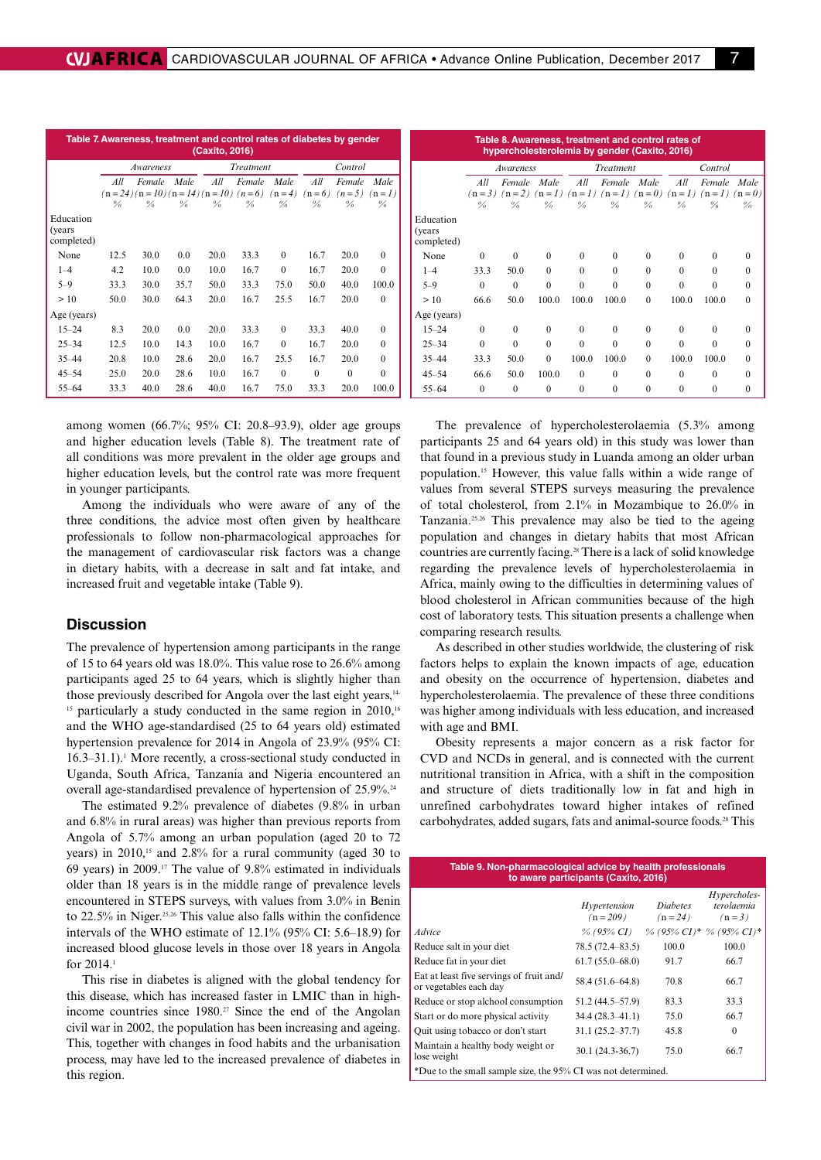| Table 7. Awareness, treatment and control rates of diabetes by gender<br>(Caxito, 2016) |               |                                 |               |               |               |               |               |               |               |
|-----------------------------------------------------------------------------------------|---------------|---------------------------------|---------------|---------------|---------------|---------------|---------------|---------------|---------------|
|                                                                                         |               | Awareness                       |               |               | Treatment     |               | Control       |               |               |
|                                                                                         | All           | Female                          | Male          | All           | Female        | Male          | All           | Female        | Male          |
|                                                                                         |               | $(n=24)(n=10)(n=14)(n=10)(n=6)$ |               |               |               | $(n=4)$       | $(n=6)$       | $(n=5)$       | $(n=1)$       |
|                                                                                         | $\frac{0}{0}$ | $\frac{0}{a}$                   | $\frac{0}{a}$ | $\frac{0}{0}$ | $\frac{0}{0}$ | $\frac{0}{0}$ | $\frac{0}{0}$ | $\frac{0}{0}$ | $\frac{0}{0}$ |
| Education<br>(years)<br>completed)                                                      |               |                                 |               |               |               |               |               |               |               |
| None                                                                                    | 12.5          | 30.0                            | 0.0           | 20.0          | 33.3          | $\Omega$      | 16.7          | 20.0          | $\theta$      |
| $1 - 4$                                                                                 | 4.2           | 10.0                            | 0.0           | 10.0          | 16.7          | $\theta$      | 16.7          | 20.0          | $\Omega$      |
| $5 - 9$                                                                                 | 33.3          | 30.0                            | 35.7          | 50.0          | 33.3          | 75.0          | 50.0          | 40.0          | 100.0         |
| >10                                                                                     | 50.0          | 30.0                            | 64.3          | 20.0          | 16.7          | 25.5          | 16.7          | 20.0          | $\theta$      |
| Age (years)                                                                             |               |                                 |               |               |               |               |               |               |               |
| $15 - 24$                                                                               | 8.3           | 20.0                            | 0.0           | 20.0          | 33.3          | $\Omega$      | 33.3          | 40.0          | $\theta$      |
| $25 - 34$                                                                               | 12.5          | 10.0                            | 14.3          | 10.0          | 16.7          | $\mathbf{0}$  | 16.7          | 20.0          | $\theta$      |
| $35 - 44$                                                                               | 20.8          | 10.0                            | 28.6          | 20.0          | 16.7          | 25.5          | 16.7          | 20.0          | $\theta$      |
| $45 - 54$                                                                               | 25.0          | 20.0                            | 28.6          | 10.0          | 16.7          | $\Omega$      | $\theta$      | $\theta$      | $\Omega$      |
| 55-64                                                                                   | 33.3          | 40.0                            | 28.6          | 40.0          | 16.7          | 75.0          | 33.3          | 20.0          | 100.0         |

among women (66.7%; 95% CI: 20.8–93.9), older age groups and higher education levels (Table 8). The treatment rate of all conditions was more prevalent in the older age groups and higher education levels, but the control rate was more frequent in younger participants.

Among the individuals who were aware of any of the three conditions, the advice most often given by healthcare professionals to follow non-pharmacological approaches for the management of cardiovascular risk factors was a change in dietary habits, with a decrease in salt and fat intake, and increased fruit and vegetable intake (Table 9).

### **Discussion**

The prevalence of hypertension among participants in the range of 15 to 64 years old was 18.0%. This value rose to 26.6% among participants aged 25 to 64 years, which is slightly higher than those previously described for Angola over the last eight years,<sup>14-</sup> <sup>15</sup> particularly a study conducted in the same region in 2010,<sup>16</sup> and the WHO age-standardised (25 to 64 years old) estimated hypertension prevalence for 2014 in Angola of 23.9% (95% CI: 16.3–31.1).1 More recently, a cross-sectional study conducted in Uganda, South Africa, Tanzania and Nigeria encountered an overall age-standardised prevalence of hypertension of 25.9%.24

The estimated 9.2% prevalence of diabetes (9.8% in urban and 6.8% in rural areas) was higher than previous reports from Angola of 5.7% among an urban population (aged 20 to 72 years) in  $2010$ ,<sup>15</sup> and  $2.8\%$  for a rural community (aged 30 to 69 years) in 2009.17 The value of 9.8% estimated in individuals older than 18 years is in the middle range of prevalence levels encountered in STEPS surveys, with values from 3.0% in Benin to  $22.5\%$  in Niger.<sup>25,26</sup> This value also falls within the confidence intervals of the WHO estimate of 12.1% (95% CI: 5.6–18.9) for increased blood glucose levels in those over 18 years in Angola for 2014.1

This rise in diabetes is aligned with the global tendency for this disease, which has increased faster in LMIC than in highincome countries since  $1980.^{27}$  Since the end of the Angolan civil war in 2002, the population has been increasing and ageing. This, together with changes in food habits and the urbanisation process, may have led to the increased prevalence of diabetes in this region.

| Table 8. Awareness, treatment and control rates of<br>hypercholesterolemia by gender (Caxito, 2016) |               |                                                                                  |               |               |                  |               |               |               |                          |  |
|-----------------------------------------------------------------------------------------------------|---------------|----------------------------------------------------------------------------------|---------------|---------------|------------------|---------------|---------------|---------------|--------------------------|--|
|                                                                                                     |               | Awareness                                                                        |               |               | <b>Treatment</b> |               |               | Control       |                          |  |
|                                                                                                     | All           | Female Male                                                                      |               | All           | Female Male      |               | All           | Female        | Male                     |  |
|                                                                                                     | $\frac{0}{n}$ | $(n=3)$ $(n=2)$ $(n=1)$ $(n=1)$ $(n=1)$ $(n=0)$ $(n=1)$ $(n=1)$<br>$\frac{0}{0}$ | $\frac{0}{0}$ | $\frac{0}{n}$ | $\frac{0}{0}$    | $\frac{0}{0}$ | $\frac{0}{0}$ | $\frac{0}{0}$ | $(n=0)$<br>$\frac{0}{0}$ |  |
| Education<br>(years)<br>completed)                                                                  |               |                                                                                  |               |               |                  |               |               |               |                          |  |
| None                                                                                                | $\Omega$      | $\Omega$                                                                         | $\Omega$      | 0             | $\Omega$         | $\Omega$      | $\Omega$      | 0             | 0                        |  |
| $1 - 4$                                                                                             | 33.3          | 50.0                                                                             | $\Omega$      | $\Omega$      | $\Omega$         | $\Omega$      | $\Omega$      | $\Omega$      | 0                        |  |
| $5 - 9$                                                                                             | $\Omega$      | $\Omega$                                                                         | $\Omega$      | $\Omega$      | $\Omega$         | $\Omega$      | $\Omega$      | $\Omega$      | $\Omega$                 |  |
| >10                                                                                                 | 66.6          | 50.0                                                                             | 100.0         | 100.0         | 100.0            | $\Omega$      | 100.0         | 100.0         | $\Omega$                 |  |
| Age (years)                                                                                         |               |                                                                                  |               |               |                  |               |               |               |                          |  |
| $15 - 24$                                                                                           | $\Omega$      | $\Omega$                                                                         | $\Omega$      | $\Omega$      | $\Omega$         | $\Omega$      | $\Omega$      | $\Omega$      | $\Omega$                 |  |
| $25 - 34$                                                                                           | $\theta$      | $\Omega$                                                                         | $\Omega$      | $\Omega$      | $\Omega$         | $\Omega$      | $\Omega$      | $\Omega$      | 0                        |  |
| $35 - 44$                                                                                           | 33.3          | 50.0                                                                             | $\Omega$      | 100.0         | 100.0            | $\Omega$      | 100.0         | 100.0         | 0                        |  |
| $45 - 54$                                                                                           | 66.6          | 50.0                                                                             | 100.0         | $\Omega$      | $\Omega$         | $\Omega$      | $\Omega$      | $\Omega$      | $\Omega$                 |  |
| $55 - 64$                                                                                           | $\Omega$      | $\Omega$                                                                         | $\Omega$      | $\Omega$      | $\Omega$         | $\Omega$      | $\Omega$      | $\Omega$      | $\theta$                 |  |

The prevalence of hypercholesterolaemia (5.3% among participants 25 and 64 years old) in this study was lower than that found in a previous study in Luanda among an older urban population.15 However, this value falls within a wide range of values from several STEPS surveys measuring the prevalence of total cholesterol, from 2.1% in Mozambique to 26.0% in Tanzania.25,26 This prevalence may also be tied to the ageing population and changes in dietary habits that most African countries are currently facing.28 There is a lack of solid knowledge regarding the prevalence levels of hypercholesterolaemia in Africa, mainly owing to the difficulties in determining values of blood cholesterol in African communities because of the high cost of laboratory tests. This situation presents a challenge when comparing research results.

As described in other studies worldwide, the clustering of risk factors helps to explain the known impacts of age, education and obesity on the occurrence of hypertension, diabetes and hypercholesterolaemia. The prevalence of these three conditions was higher among individuals with less education, and increased with age and BMI.

Obesity represents a major concern as a risk factor for CVD and NCDs in general, and is connected with the current nutritional transition in Africa, with a shift in the composition and structure of diets traditionally low in fat and high in unrefined carbohydrates toward higher intakes of refined carbohydrates, added sugars, fats and animal-source foods.<sup>28</sup> This

| Table 9. Non-pharmacological advice by health professionals<br>to aware participants (Caxito, 2016) |                                             |                               |                                       |  |  |  |  |  |
|-----------------------------------------------------------------------------------------------------|---------------------------------------------|-------------------------------|---------------------------------------|--|--|--|--|--|
|                                                                                                     | Hypertension<br>$(n = 209)$                 | <i>Diabetes</i><br>$(n = 24)$ | Hypercholes-<br>terolaemia<br>$(n=3)$ |  |  |  |  |  |
| <i>Advice</i>                                                                                       | $\%$ (95% CI) $\%$ (95% CI)* $\%$ (95% CI)* |                               |                                       |  |  |  |  |  |
| Reduce salt in your diet                                                                            | 78.5 (72.4–83.5)                            | 100.0                         | 100.0                                 |  |  |  |  |  |
| Reduce fat in your diet                                                                             | $61.7(55.0 - 68.0)$                         | 91.7                          | 66.7                                  |  |  |  |  |  |
| Eat at least five servings of fruit and/<br>or vegetables each day                                  | 58.4 (51.6–64.8)                            | 70.8                          | 66.7                                  |  |  |  |  |  |
| Reduce or stop alchool consumption                                                                  | 51.2 (44.5–57.9)                            | 83.3                          | 33.3                                  |  |  |  |  |  |
| Start or do more physical activity                                                                  | $34.4(28.3 - 41.1)$                         | 75.0                          | 66.7                                  |  |  |  |  |  |
| Quit using tobacco or don't start                                                                   | $31.1(25.2 - 37.7)$                         | 45.8                          | $\Omega$                              |  |  |  |  |  |
| Maintain a healthy body weight or<br>lose weight                                                    | 30.1 (24.3-36.7)                            | 75.0                          | 66.7                                  |  |  |  |  |  |
| *Due to the small sample size, the 95% CI was not determined.                                       |                                             |                               |                                       |  |  |  |  |  |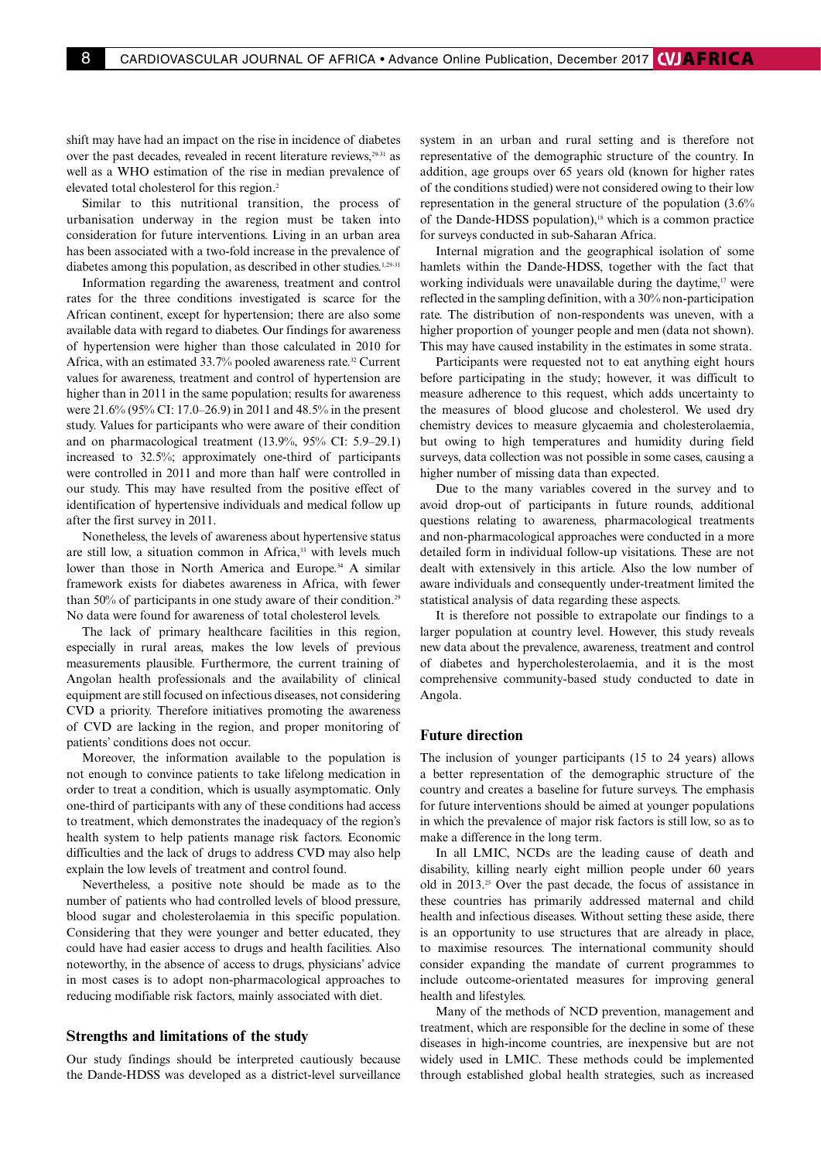shift may have had an impact on the rise in incidence of diabetes over the past decades, revealed in recent literature reviews,<sup>29-31</sup> as well as a WHO estimation of the rise in median prevalence of elevated total cholesterol for this region.2

Similar to this nutritional transition, the process of urbanisation underway in the region must be taken into consideration for future interventions. Living in an urban area has been associated with a two-fold increase in the prevalence of diabetes among this population, as described in other studies.<sup>1,29-31</sup>

Information regarding the awareness, treatment and control rates for the three conditions investigated is scarce for the African continent, except for hypertension; there are also some available data with regard to diabetes. Our findings for awareness of hypertension were higher than those calculated in 2010 for Africa, with an estimated 33.7% pooled awareness rate.<sup>32</sup> Current values for awareness, treatment and control of hypertension are higher than in 2011 in the same population; results for awareness were 21.6% (95% CI: 17.0–26.9) in 2011 and 48.5% in the present study. Values for participants who were aware of their condition and on pharmacological treatment (13.9%, 95% CI: 5.9–29.1) increased to 32.5%; approximately one-third of participants were controlled in 2011 and more than half were controlled in our study. This may have resulted from the positive effect of identification of hypertensive individuals and medical follow up after the first survey in 2011.

Nonetheless, the levels of awareness about hypertensive status are still low, a situation common in Africa,<sup>33</sup> with levels much lower than those in North America and Europe.<sup>34</sup> A similar framework exists for diabetes awareness in Africa, with fewer than 50% of participants in one study aware of their condition.<sup>29</sup> No data were found for awareness of total cholesterol levels.

The lack of primary healthcare facilities in this region, especially in rural areas, makes the low levels of previous measurements plausible. Furthermore, the current training of Angolan health professionals and the availability of clinical equipment are still focused on infectious diseases, not considering CVD a priority. Therefore initiatives promoting the awareness of CVD are lacking in the region, and proper monitoring of patients' conditions does not occur.

Moreover, the information available to the population is not enough to convince patients to take lifelong medication in order to treat a condition, which is usually asymptomatic. Only one-third of participants with any of these conditions had access to treatment, which demonstrates the inadequacy of the region's health system to help patients manage risk factors. Economic difficulties and the lack of drugs to address CVD may also help explain the low levels of treatment and control found.

Nevertheless, a positive note should be made as to the number of patients who had controlled levels of blood pressure, blood sugar and cholesterolaemia in this specific population. Considering that they were younger and better educated, they could have had easier access to drugs and health facilities. Also noteworthy, in the absence of access to drugs, physicians' advice in most cases is to adopt non-pharmacological approaches to reducing modifiable risk factors, mainly associated with diet.

#### **Strengths and limitations of the study**

Our study findings should be interpreted cautiously because the Dande-HDSS was developed as a district-level surveillance

system in an urban and rural setting and is therefore not representative of the demographic structure of the country. In addition, age groups over 65 years old (known for higher rates of the conditions studied) were not considered owing to their low representation in the general structure of the population (3.6% of the Dande-HDSS population),<sup>18</sup> which is a common practice for surveys conducted in sub-Saharan Africa.

Internal migration and the geographical isolation of some hamlets within the Dande-HDSS, together with the fact that working individuals were unavailable during the daytime,<sup>17</sup> were reflected in the sampling definition, with a 30% non-participation rate. The distribution of non-respondents was uneven, with a higher proportion of younger people and men (data not shown). This may have caused instability in the estimates in some strata.

Participants were requested not to eat anything eight hours before participating in the study; however, it was difficult to measure adherence to this request, which adds uncertainty to the measures of blood glucose and cholesterol. We used dry chemistry devices to measure glycaemia and cholesterolaemia, but owing to high temperatures and humidity during field surveys, data collection was not possible in some cases, causing a higher number of missing data than expected.

Due to the many variables covered in the survey and to avoid drop-out of participants in future rounds, additional questions relating to awareness, pharmacological treatments and non-pharmacological approaches were conducted in a more detailed form in individual follow-up visitations. These are not dealt with extensively in this article. Also the low number of aware individuals and consequently under-treatment limited the statistical analysis of data regarding these aspects.

It is therefore not possible to extrapolate our findings to a larger population at country level. However, this study reveals new data about the prevalence, awareness, treatment and control of diabetes and hypercholesterolaemia, and it is the most comprehensive community-based study conducted to date in Angola.

### **Future direction**

The inclusion of younger participants (15 to 24 years) allows a better representation of the demographic structure of the country and creates a baseline for future surveys. The emphasis for future interventions should be aimed at younger populations in which the prevalence of major risk factors is still low, so as to make a difference in the long term.

In all LMIC, NCDs are the leading cause of death and disability, killing nearly eight million people under 60 years old in 2013.25 Over the past decade, the focus of assistance in these countries has primarily addressed maternal and child health and infectious diseases. Without setting these aside, there is an opportunity to use structures that are already in place, to maximise resources. The international community should consider expanding the mandate of current programmes to include outcome-orientated measures for improving general health and lifestyles.

Many of the methods of NCD prevention, management and treatment, which are responsible for the decline in some of these diseases in high-income countries, are inexpensive but are not widely used in LMIC. These methods could be implemented through established global health strategies, such as increased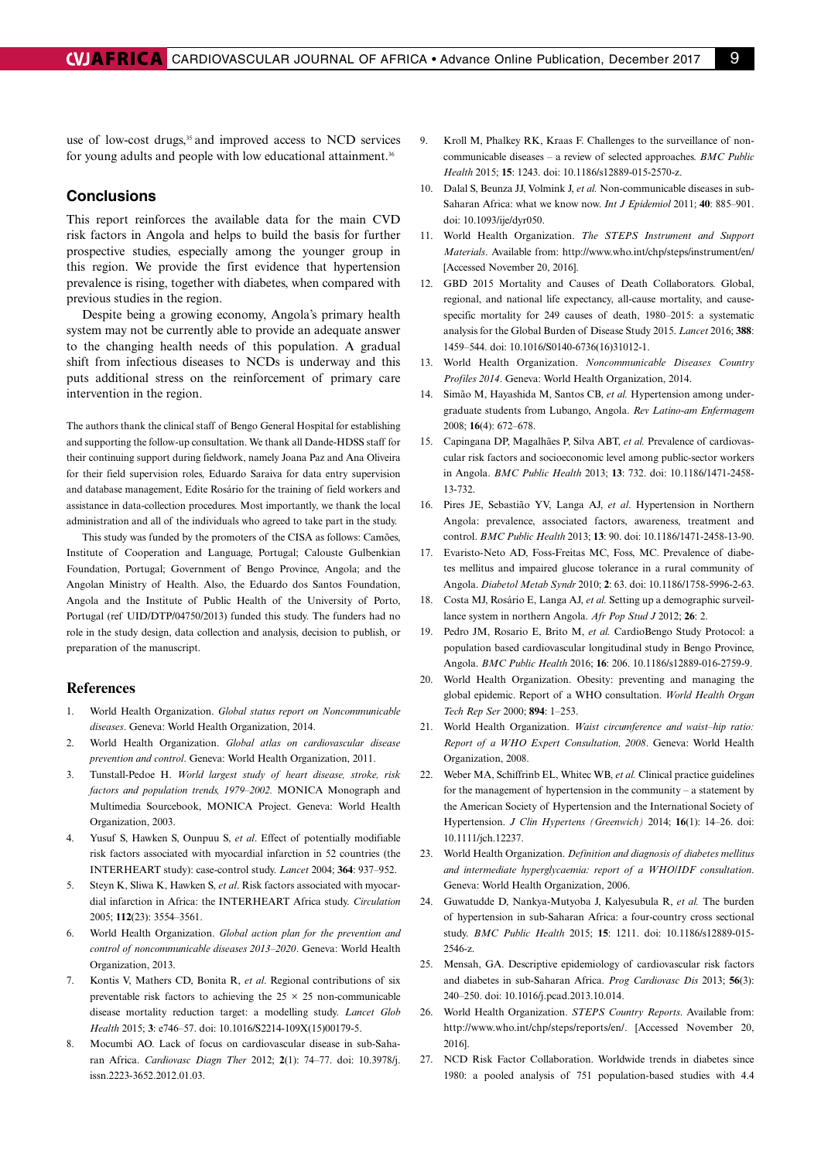use of low-cost drugs,<sup>35</sup> and improved access to NCD services for young adults and people with low educational attainment.<sup>36</sup>

#### **Conclusions**

This report reinforces the available data for the main CVD risk factors in Angola and helps to build the basis for further prospective studies, especially among the younger group in this region. We provide the first evidence that hypertension prevalence is rising, together with diabetes, when compared with previous studies in the region.

Despite being a growing economy, Angola's primary health system may not be currently able to provide an adequate answer to the changing health needs of this population. A gradual shift from infectious diseases to NCDs is underway and this puts additional stress on the reinforcement of primary care intervention in the region.

The authors thank the clinical staff of Bengo General Hospital for establishing and supporting the follow-up consultation. We thank all Dande-HDSS staff for their continuing support during fieldwork, namely Joana Paz and Ana Oliveira for their field supervision roles, Eduardo Saraiva for data entry supervision and database management, Edite Rosário for the training of field workers and assistance in data-collection procedures. Most importantly, we thank the local administration and all of the individuals who agreed to take part in the study.

This study was funded by the promoters of the CISA as follows: Camões, Institute of Cooperation and Language, Portugal; Calouste Gulbenkian Foundation, Portugal; Government of Bengo Province, Angola; and the Angolan Ministry of Health. Also, the Eduardo dos Santos Foundation, Angola and the Institute of Public Health of the University of Porto, Portugal (ref UID/DTP/04750/2013) funded this study. The funders had no role in the study design, data collection and analysis, decision to publish, or preparation of the manuscript.

#### **References**

- 1. World Health Organization. *Global status report on Noncommunicable diseases*. Geneva: World Health Organization, 2014.
- 2. World Health Organization. *Global atlas on cardiovascular disease prevention and control*. Geneva: World Health Organization, 2011.
- 3. Tunstall-Pedoe H. *World largest study of heart disease, stroke, risk factors and population trends, 1979–2002.* MONICA Monograph and Multimedia Sourcebook, MONICA Project. Geneva: World Health Organization, 2003.
- 4. Yusuf S, Hawken S, Ounpuu S, *et al*. Effect of potentially modifiable risk factors associated with myocardial infarction in 52 countries (the INTERHEART study): case-control study. *Lancet* 2004; **364**: 937–952.
- 5. Steyn K, Sliwa K, Hawken S, *et al*. Risk factors associated with myocardial infarction in Africa: the INTERHEART Africa study. *Circulation* 2005; **112**(23): 3554–3561.
- 6. World Health Organization. *Global action plan for the prevention and control of noncommunicable diseases 2013–2020*. Geneva: World Health Organization, 2013.
- 7. Kontis V, Mathers CD, Bonita R, *et al*. Regional contributions of six preventable risk factors to achieving the  $25 \times 25$  non-communicable disease mortality reduction target: a modelling study. *Lancet Glob Health* 2015; **3**: e746–57. doi: 10.1016/S2214-109X(15)00179-5.
- 8. Mocumbi AO. Lack of focus on cardiovascular disease in sub-Saharan Africa. *Cardiovasc Diagn Ther* 2012; **2**(1): 74–77. doi: 10.3978/j. issn.2223-3652.2012.01.03.
- 9. Kroll M, Phalkey RK, Kraas F. Challenges to the surveillance of noncommunicable diseases – a review of selected approaches. *BMC Public Health* 2015; **15**: 1243. doi: 10.1186/s12889-015-2570-z.
- 10. Dalal S, Beunza JJ, Volmink J, *et al.* Non-communicable diseases in sub-Saharan Africa: what we know now. *Int J Epidemiol* 2011; **40**: 885–901. doi: 10.1093/ije/dyr050.
- 11. World Health Organization. *The STEPS Instrument and Support Materials*. Available from: http://www.who.int/chp/steps/instrument/en/ [Accessed November 20, 2016].
- 12. GBD 2015 Mortality and Causes of Death Collaborators. Global, regional, and national life expectancy, all-cause mortality, and causespecific mortality for 249 causes of death, 1980–2015: a systematic analysis for the Global Burden of Disease Study 2015. *Lancet* 2016; **388**: 1459–544. doi: 10.1016/S0140-6736(16)31012-1.
- 13. World Health Organization. *Noncommunicable Diseases Country Profiles 2014*. Geneva: World Health Organization, 2014.
- 14. Simão M, Hayashida M, Santos CB, *et al.* Hypertension among undergraduate students from Lubango, Angola. *Rev Latino-am Enfermagem* 2008; **16**(4): 672–678.
- 15. Capingana DP, Magalhães P, Silva ABT, *et al.* Prevalence of cardiovascular risk factors and socioeconomic level among public-sector workers in Angola. *BMC Public Health* 2013; **13**: 732. doi: 10.1186/1471-2458- 13-732.
- 16. Pires JE, Sebastião YV, Langa AJ, *et al*. Hypertension in Northern Angola: prevalence, associated factors, awareness, treatment and control. *BMC Public Health* 2013; **13**: 90. doi: 10.1186/1471-2458-13-90.
- 17. Evaristo-Neto AD, Foss-Freitas MC, Foss, MC. Prevalence of diabetes mellitus and impaired glucose tolerance in a rural community of Angola. *Diabetol Metab Syndr* 2010; **2**: 63. doi: 10.1186/1758-5996-2-63.
- 18. Costa MJ, Rosário E, Langa AJ, *et al.* Setting up a demographic surveillance system in northern Angola. *Afr Pop Stud J* 2012; **26**: 2.
- 19. Pedro JM, Rosario E, Brito M, *et al.* CardioBengo Study Protocol: a population based cardiovascular longitudinal study in Bengo Province, Angola. *BMC Public Health* 2016; **16**: 206. 10.1186/s12889-016-2759-9.
- 20. World Health Organization. Obesity: preventing and managing the global epidemic. Report of a WHO consultation. *World Health Organ Tech Rep Ser* 2000; **894**: 1–253.
- 21. World Health Organization. *Waist circumference and waist–hip ratio: Report of a WHO Expert Consultation, 2008*. Geneva: World Health Organization, 2008.
- 22. Weber MA, Schiffrinb EL, Whitec WB, *et al.* Clinical practice guidelines for the management of hypertension in the community – a statement by the American Society of Hypertension and the International Society of Hypertension. *J Clin Hypertens (Greenwich)* 2014; **16**(1): 14–26. doi: 10.1111/jch.12237.
- 23. World Health Organization. *Definition and diagnosis of diabetes mellitus and intermediate hyperglycaemia: report of a WHO/IDF consultation*. Geneva: World Health Organization, 2006.
- 24. Guwatudde D, Nankya-Mutyoba J, Kalyesubula R, *et al.* The burden of hypertension in sub-Saharan Africa: a four-country cross sectional study. *BMC Public Health* 2015; **15**: 1211. doi: 10.1186/s12889-015- 2546-z.
- 25. Mensah, GA. Descriptive epidemiology of cardiovascular risk factors and diabetes in sub-Saharan Africa. *Prog Cardiovasc Dis* 2013; **56**(3): 240–250. doi: 10.1016/j.pcad.2013.10.014.
- 26. World Health Organization. *STEPS Country Reports*. Available from: http://www.who.int/chp/steps/reports/en/. [Accessed November 20, 2016].
- 27. NCD Risk Factor Collaboration. Worldwide trends in diabetes since 1980: a pooled analysis of 751 population-based studies with 4.4